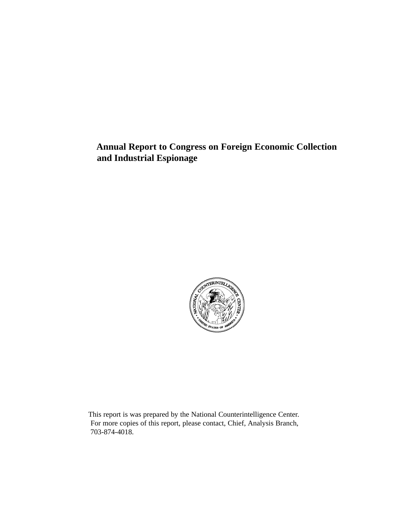**Annual Report to Congress on Foreign Economic Collection and Industrial Espionage**



This report is was prepared by the National Counterintelligence Center. For more copies of this report, please contact, Chief, Analysis Branch, 703-874-4018.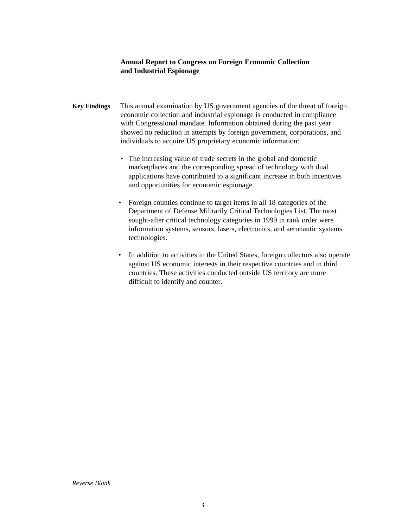# **Annual Report to Congress on Foreign Economic Collection and Industrial Espionage**

- **Key Findings** This annual examination by US government agencies of the threat of foreign economic collection and industrial espionage is conducted in compliance with Congressional mandate. Information obtained during the past year showed no reduction in attempts by foreign government, corporations, and individuals to acquire US proprietary economic information:
	- The increasing value of trade secrets in the global and domestic marketplaces and the corresponding spread of technology with dual applications have contributed to a significant increase in both incentives and opportunities for economic espionage.
	- Foreign counties continue to target items in all 18 categories of the Department of Defense Militarily Critical Technologies List. The most sought-after critical technology categories in 1999 in rank order were information systems, sensors, lasers, electronics, and aeronautic systems technologies.
	- In addition to activities in the United States, foreign collectors also operate against US economic interests in their respective countries and in third countries. These activities conducted outside US territory are more difficult to identify and counter.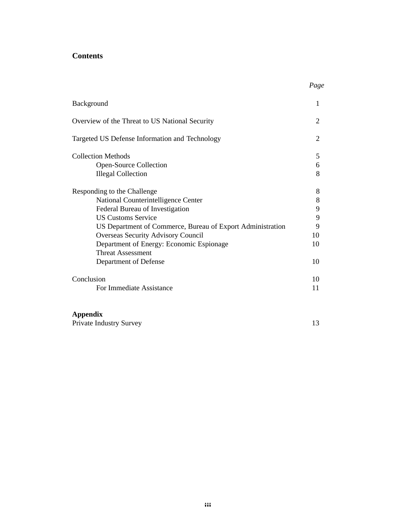# **Contents**

| Background                                                 | 1  |
|------------------------------------------------------------|----|
| Overview of the Threat to US National Security             | 2  |
| Targeted US Defense Information and Technology             | 2  |
| <b>Collection Methods</b>                                  | 5  |
| Open-Source Collection                                     | 6  |
| <b>Illegal Collection</b>                                  | 8  |
| Responding to the Challenge                                | 8  |
| National Counterintelligence Center                        | 8  |
| Federal Bureau of Investigation                            | 9  |
| <b>US Customs Service</b>                                  | 9  |
| US Department of Commerce, Bureau of Export Administration | 9  |
| Overseas Security Advisory Council                         | 10 |
| Department of Energy: Economic Espionage                   | 10 |
| <b>Threat Assessment</b>                                   |    |
| Department of Defense                                      | 10 |
| Conclusion                                                 | 10 |
| For Immediate Assistance                                   | 11 |
|                                                            |    |

# **Appendix**

| <b>Private Industry Survey</b> |  |  |
|--------------------------------|--|--|
|                                |  |  |

*Page*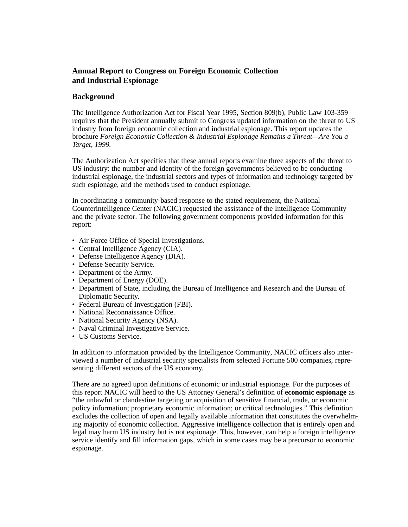# **Annual Report to Congress on Foreign Economic Collection and Industrial Espionage**

# **Background**

The Intelligence Authorization Act for Fiscal Year 1995, Section 809(b), Public Law 103-359 requires that the President annually submit to Congress updated information on the threat to US industry from foreign economic collection and industrial espionage. This report updates the brochure *Foreign Economic Collection & Industrial Espionage Remains a Threat—Are You a Target, 1999.*

The Authorization Act specifies that these annual reports examine three aspects of the threat to US industry: the number and identity of the foreign governments believed to be conducting industrial espionage, the industrial sectors and types of information and technology targeted by such espionage, and the methods used to conduct espionage.

In coordinating a community-based response to the stated requirement, the National Counterintelligence Center (NACIC) requested the assistance of the Intelligence Community and the private sector. The following government components provided information for this report:

- Air Force Office of Special Investigations.
- Central Intelligence Agency (CIA).
- Defense Intelligence Agency (DIA).
- Defense Security Service.
- Department of the Army.
- Department of Energy (DOE).
- Department of State, including the Bureau of Intelligence and Research and the Bureau of Diplomatic Security.
- Federal Bureau of Investigation (FBI).
- National Reconnaissance Office.
- National Security Agency (NSA).
- Naval Criminal Investigative Service.
- US Customs Service.

In addition to information provided by the Intelligence Community, NACIC officers also interviewed a number of industrial security specialists from selected Fortune 500 companies, representing different sectors of the US economy.

There are no agreed upon definitions of economic or industrial espionage. For the purposes of this report NACIC will heed to the US Attorney General's definition of **economic espionage** as "the unlawful or clandestine targeting or acquisition of sensitive financial, trade, or economic policy information; proprietary economic information; or critical technologies." This definition excludes the collection of open and legally available information that constitutes the overwhelming majority of economic collection. Aggressive intelligence collection that is entirely open and legal may harm US industry but is not espionage. This, however, can help a foreign intelligence service identify and fill information gaps, which in some cases may be a precursor to economic espionage.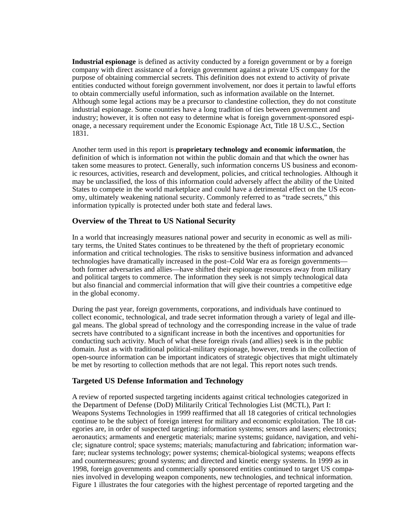**Industrial espionage** is defined as activity conducted by a foreign government or by a foreign company with direct assistance of a foreign government against a private US company for the purpose of obtaining commercial secrets. This definition does not extend to activity of private entities conducted without foreign government involvement, nor does it pertain to lawful efforts to obtain commercially useful information, such as information available on the Internet. Although some legal actions may be a precursor to clandestine collection, they do not constitute industrial espionage. Some countries have a long tradition of ties between government and industry; however, it is often not easy to determine what is foreign government-sponsored espionage, a necessary requirement under the Economic Espionage Act, Title 18 U.S.C., Section 1831.

Another term used in this report is **proprietary technology and economic information**, the definition of which is information not within the public domain and that which the owner has taken some measures to protect. Generally, such information concerns US business and economic resources, activities, research and development, policies, and critical technologies. Although it may be unclassified, the loss of this information could adversely affect the ability of the United States to compete in the world marketplace and could have a detrimental effect on the US economy, ultimately weakening national security. Commonly referred to as "trade secrets," this information typically is protected under both state and federal laws.

# **Overview of the Threat to US National Security**

In a world that increasingly measures national power and security in economic as well as military terms, the United States continues to be threatened by the theft of proprietary economic information and critical technologies. The risks to sensitive business information and advanced technologies have dramatically increased in the post–Cold War era as foreign governments both former adversaries and allies—have shifted their espionage resources away from military and political targets to commerce. The information they seek is not simply technological data but also financial and commercial information that will give their countries a competitive edge in the global economy.

During the past year, foreign governments, corporations, and individuals have continued to collect economic, technological, and trade secret information through a variety of legal and illegal means. The global spread of technology and the corresponding increase in the value of trade secrets have contributed to a significant increase in both the incentives and opportunities for conducting such activity. Much of what these foreign rivals (and allies) seek is in the public domain. Just as with traditional political-military espionage, however, trends in the collection of open-source information can be important indicators of strategic objectives that might ultimately be met by resorting to collection methods that are not legal. This report notes such trends.

#### **Targeted US Defense Information and Technology**

A review of reported suspected targeting incidents against critical technologies categorized in the Department of Defense (DoD) Militarily Critical Technologies List (MCTL), Part I: Weapons Systems Technologies in 1999 reaffirmed that all 18 categories of critical technologies continue to be the subject of foreign interest for military and economic exploitation. The 18 categories are, in order of suspected targeting: information systems; sensors and lasers; electronics; aeronautics; armaments and energetic materials; marine systems; guidance, navigation, and vehicle; signature control; space systems; materials; manufacturing and fabrication; information warfare; nuclear systems technology; power systems; chemical-biological systems; weapons effects and countermeasures; ground systems; and directed and kinetic energy systems. In 1999 as in 1998, foreign governments and commercially sponsored entities continued to target US companies involved in developing weapon components, new technologies, and technical information. Figure 1 illustrates the four categories with the highest percentage of reported targeting and the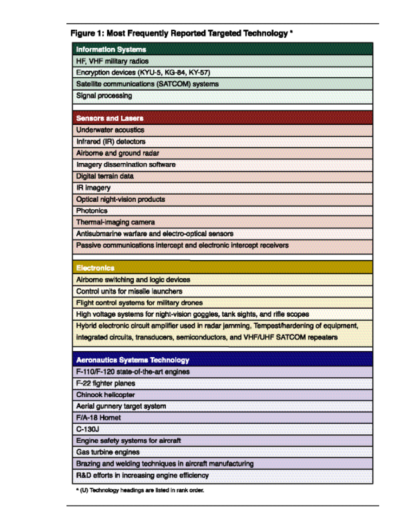# Figure 1: Most Frequently Reported Targeted Technology \*

| <b>Information Systems</b>                 |                                                                                                                                                                              |
|--------------------------------------------|------------------------------------------------------------------------------------------------------------------------------------------------------------------------------|
| HF, VHF military radios                    |                                                                                                                                                                              |
| Encryption devices (KYU-5, KG-84, KY-57)   |                                                                                                                                                                              |
| Satellite communications (SATCOM) systems  |                                                                                                                                                                              |
| <b>Signal processing</b>                   |                                                                                                                                                                              |
| <b>Sensors and Lasers</b>                  |                                                                                                                                                                              |
| <b>Underwater acoustics</b>                |                                                                                                                                                                              |
| Infrared (IR) detectors                    |                                                                                                                                                                              |
| Airborne and ground radar                  |                                                                                                                                                                              |
| Imagery dissemination software             |                                                                                                                                                                              |
| Digital terrain data                       |                                                                                                                                                                              |
| <b>IR imagery</b>                          |                                                                                                                                                                              |
| Optical night-vision products              |                                                                                                                                                                              |
| <b>Photonics</b>                           |                                                                                                                                                                              |
| Thermal-imaging camera                     |                                                                                                                                                                              |
|                                            | Antisubmarine warfare and electro-optical sensors                                                                                                                            |
|                                            | Passive communications intercept and electronic intercept receivers                                                                                                          |
| <b>Electronics</b>                         |                                                                                                                                                                              |
| Airborne switching and logic devices       |                                                                                                                                                                              |
| Control units for missile launchers        |                                                                                                                                                                              |
| Flight control systems for military drones |                                                                                                                                                                              |
|                                            | High voltage systems for night-vision goggles, tank sights, and rifle scopes                                                                                                 |
|                                            | Hybrid electronic circuit amplifier used in radar jamming. Tempest/hardening of equipment,<br>integrated circuits, transducers, semiconductors, and VHF/UHF SATCOM repeaters |
| <b>Aeronautics Systems Technology</b>      |                                                                                                                                                                              |
| F-110/F-120 state-of-the-art engines       |                                                                                                                                                                              |
| F-22 fighter planes                        |                                                                                                                                                                              |
| Chinook helicopter                         |                                                                                                                                                                              |
|                                            |                                                                                                                                                                              |
| Aerial gunnery target system               |                                                                                                                                                                              |
| F/A-18 Hornet                              |                                                                                                                                                                              |
| $C-130J$                                   |                                                                                                                                                                              |
| Engine safety systems for aircraft         |                                                                                                                                                                              |
| Gas turbine engines                        |                                                                                                                                                                              |

R&D efforts in increasing engine efficiency

<sup>a</sup> (U) Technology headings are listed in rank order.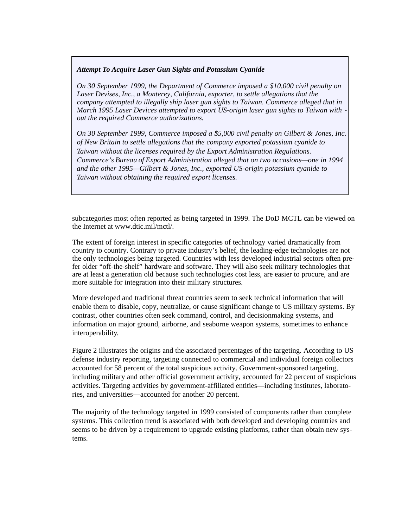#### *Attempt To Acquire Laser Gun Sights and Potassium Cyanide*

*On 30 September 1999, the Department of Commerce imposed a \$10,000 civil penalty on Laser Devises, Inc., a Monterey, California, exporter, to settle allegations that the company attempted to illegally ship laser gun sights to Taiwan. Commerce alleged that in March 1995 Laser Devices attempted to export US-origin laser gun sights to Taiwan with out the required Commerce authorizations.*

*On 30 September 1999, Commerce imposed a \$5,000 civil penalty on Gilbert & Jones, Inc. of New Britain to settle allegations that the company exported potassium cyanide to Taiwan without the licenses required by the Export Administration Regulations. Commerce's Bureau of Export Administration alleged that on two occasions—one in 1994 and the other 1995—Gilbert & Jones, Inc., exported US-origin potassium cyanide to Taiwan without obtaining the required export licenses.*

subcategories most often reported as being targeted in 1999. The DoD MCTL can be viewed on the Internet at www.dtic.mil/mctl/.

The extent of foreign interest in specific categories of technology varied dramatically from country to country. Contrary to private industry's belief, the leading-edge technologies are not the only technologies being targeted. Countries with less developed industrial sectors often prefer older "off-the-shelf" hardware and software. They will also seek military technologies that are at least a generation old because such technologies cost less, are easier to procure, and are more suitable for integration into their military structures.

More developed and traditional threat countries seem to seek technical information that will enable them to disable, copy, neutralize, or cause significant change to US military systems. By contrast, other countries often seek command, control, and decisionmaking systems, and information on major ground, airborne, and seaborne weapon systems, sometimes to enhance interoperability.

Figure 2 illustrates the origins and the associated percentages of the targeting. According to US defense industry reporting, targeting connected to commercial and individual foreign collectors accounted for 58 percent of the total suspicious activity. Government-sponsored targeting, including military and other official government activity, accounted for 22 percent of suspicious activities. Targeting activities by government-affiliated entities—including institutes, laboratories, and universities—accounted for another 20 percent.

The majority of the technology targeted in 1999 consisted of components rather than complete systems. This collection trend is associated with both developed and developing countries and seems to be driven by a requirement to upgrade existing platforms, rather than obtain new systems.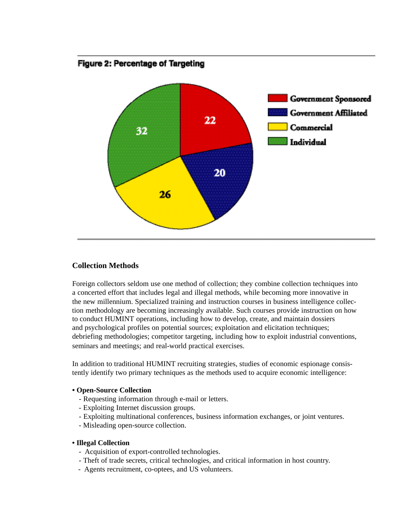

# Figure 2: Percentage of Targeting

# **Collection Methods**

Foreign collectors seldom use one method of collection; they combine collection techniques into a concerted effort that includes legal and illegal methods, while becoming more innovative in the new millennium. Specialized training and instruction courses in business intelligence collection methodology are becoming increasingly available. Such courses provide instruction on how to conduct HUMINT operations, including how to develop, create, and maintain dossiers and psychological profiles on potential sources; exploitation and elicitation techniques; debriefing methodologies; competitor targeting, including how to exploit industrial conventions, seminars and meetings; and real-world practical exercises.

In addition to traditional HUMINT recruiting strategies, studies of economic espionage consistently identify two primary techniques as the methods used to acquire economic intelligence:

#### **• Open-Source Collection**

- Requesting information through e-mail or letters.
- Exploiting Internet discussion groups.
- Exploiting multinational conferences, business information exchanges, or joint ventures.
- Misleading open-source collection.

#### **• Illegal Collection**

- Acquisition of export-controlled technologies.
- Theft of trade secrets, critical technologies, and critical information in host country.
- Agents recruitment, co-optees, and US volunteers.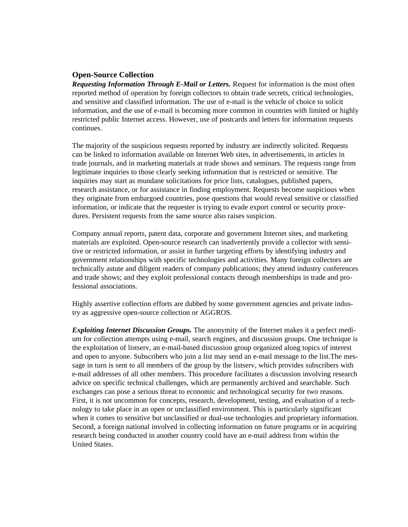### **Open-Source Collection**

*Requesting Information Through E-Mail or Letters.* Request for information is the most often reported method of operation by foreign collectors to obtain trade secrets, critical technologies, and sensitive and classified information. The use of e-mail is the vehicle of choice to solicit information, and the use of e-mail is becoming more common in countries with limited or highly restricted public Internet access. However, use of postcards and letters for information requests continues.

The majority of the suspicious requests reported by industry are indirectly solicited. Requests can be linked to information available on Internet Web sites, in advertisements, in articles in trade journals, and in marketing materials at trade shows and seminars. The requests range from legitimate inquiries to those clearly seeking information that is restricted or sensitive. The inquiries may start as mundane solicitations for price lists, catalogues, published papers, research assistance, or for assistance in finding employment. Requests become suspicious when they originate from embargoed countries, pose questions that would reveal sensitive or classified information, or indicate that the requester is trying to evade export control or security procedures. Persistent requests from the same source also raises suspicion.

Company annual reports, patent data, corporate and government Internet sites, and marketing materials are exploited. Open-source research can inadvertently provide a collector with sensitive or restricted information, or assist in further targeting efforts by identifying industry and government relationships with specific technologies and activities. Many foreign collectors are technically astute and diligent readers of company publications; they attend industry conferences and trade shows; and they exploit professional contacts through memberships in trade and professional associations.

Highly assertive collection efforts are dubbed by some government agencies and private industry as aggressive open-source collection or AGGROS.

*Exploiting Internet Discussion Groups.* The anonymity of the Internet makes it a perfect medium for collection attempts using e-mail, search engines, and discussion groups. One technique is the exploitation of listserv, an e-mail-based discussion group organized along topics of interest and open to anyone. Subscribers who join a list may send an e-mail message to the list.The message in turn is sent to all members of the group by the listserv, which provides subscribers with e-mail addresses of all other members. This procedure facilitates a discussion involving research advice on specific technical challenges, which are permanently archived and searchable. Such exchanges can pose a serious threat to economic and technological security for two reasons. First, it is not uncommon for concepts, research, development, testing, and evaluation of a technology to take place in an open or unclassified environment. This is particularly significant when it comes to sensitive but unclassified or dual-use technologies and proprietary information. Second, a foreign national involved in collecting information on future programs or in acquiring research being conducted in another country could have an e-mail address from within the United States.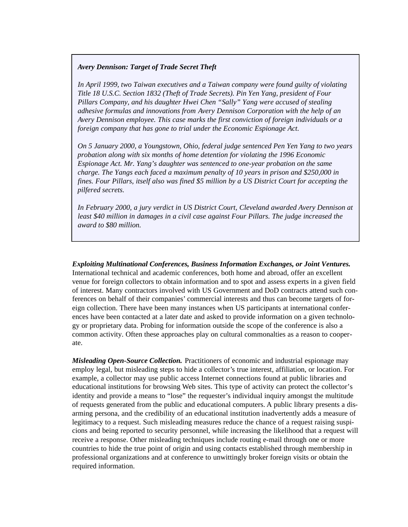#### *Avery Dennison: Target of Trade Secret Theft*

*In April 1999, two Taiwan executives and a Taiwan company were found guilty of violating Title 18 U.S.C. Section 1832 (Theft of Trade Secrets). Pin Yen Yang, president of Four Pillars Company, and his daughter Hwei Chen "Sally" Yang were accused of stealing adhesive formulas and innovations from Avery Dennison Corporation with the help of an Avery Dennison employee. This case marks the first conviction of foreign individuals or a foreign company that has gone to trial under the Economic Espionage Act.* 

*On 5 January 2000, a Youngstown, Ohio, federal judge sentenced Pen Yen Yang to two years probation along with six months of home detention for violating the 1996 Economic Espionage Act. Mr. Yang's daughter was sentenced to one-year probation on the same charge. The Yangs each faced a maximum penalty of 10 years in prison and \$250,000 in fines. Four Pillars, itself also was fined \$5 million by a US District Court for accepting the pilfered secrets.* 

*In February 2000, a jury verdict in US District Court, Cleveland awarded Avery Dennison at least \$40 million in damages in a civil case against Four Pillars. The judge increased the award to \$80 million.* 

*Exploiting Multinational Conferences, Business Information Exchanges, or Joint Ventures.* International technical and academic conferences, both home and abroad, offer an excellent venue for foreign collectors to obtain information and to spot and assess experts in a given field of interest. Many contractors involved with US Government and DoD contracts attend such conferences on behalf of their companies' commercial interests and thus can become targets of foreign collection. There have been many instances when US participants at international conferences have been contacted at a later date and asked to provide information on a given technology or proprietary data. Probing for information outside the scope of the conference is also a common activity. Often these approaches play on cultural commonalties as a reason to cooperate.

*Misleading Open-Source Collection.* Practitioners of economic and industrial espionage may employ legal, but misleading steps to hide a collector's true interest, affiliation, or location. For example, a collector may use public access Internet connections found at public libraries and educational institutions for browsing Web sites. This type of activity can protect the collector's identity and provide a means to "lose" the requester's individual inquiry amongst the multitude of requests generated from the public and educational computers. A public library presents a disarming persona, and the credibility of an educational institution inadvertently adds a measure of legitimacy to a request. Such misleading measures reduce the chance of a request raising suspicions and being reported to security personnel, while increasing the likelihood that a request will receive a response. Other misleading techniques include routing e-mail through one or more countries to hide the true point of origin and using contacts established through membership in professional organizations and at conference to unwittingly broker foreign visits or obtain the required information.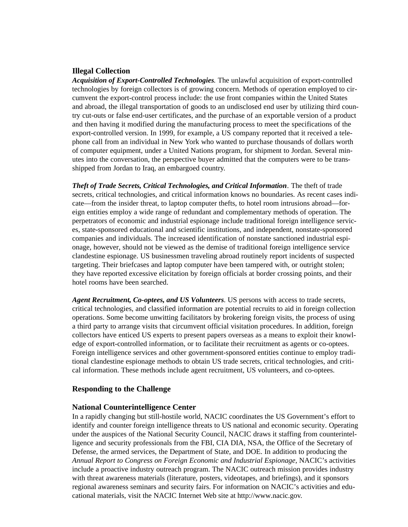#### **Illegal Collection**

*Acquisition of Export-Controlled Technologies.* The unlawful acquisition of export-controlled technologies by foreign collectors is of growing concern. Methods of operation employed to circumvent the export-control process include: the use front companies within the United States and abroad, the illegal transportation of goods to an undisclosed end user by utilizing third country cut-outs or false end-user certificates, and the purchase of an exportable version of a product and then having it modified during the manufacturing process to meet the specifications of the export-controlled version. In 1999, for example, a US company reported that it received a telephone call from an individual in New York who wanted to purchase thousands of dollars worth of computer equipment, under a United Nations program, for shipment to Jordan. Several minutes into the conversation, the perspective buyer admitted that the computers were to be transshipped from Jordan to Iraq, an embargoed country.

*Theft of Trade Secrets, Critical Technologies, and Critical Information.* The theft of trade secrets, critical technologies, and critical information knows no boundaries. As recent cases indicate—from the insider threat, to laptop computer thefts, to hotel room intrusions abroad—foreign entities employ a wide range of redundant and complementary methods of operation. The perpetrators of economic and industrial espionage include traditional foreign intelligence services, state-sponsored educational and scientific institutions, and independent, nonstate-sponsored companies and individuals. The increased identification of nonstate sanctioned industrial espionage, however, should not be viewed as the demise of traditional foreign intelligence service clandestine espionage. US businessmen traveling abroad routinely report incidents of suspected targeting. Their briefcases and laptop computer have been tampered with, or outright stolen; they have reported excessive elicitation by foreign officials at border crossing points, and their hotel rooms have been searched.

*Agent Recruitment, Co-optees, and US Volunteers*. US persons with access to trade secrets, critical technologies, and classified information are potential recruits to aid in foreign collection operations. Some become unwitting facilitators by brokering foreign visits, the process of using a third party to arrange visits that circumvent official visitation procedures. In addition, foreign collectors have enticed US experts to present papers overseas as a means to exploit their knowledge of export-controlled information, or to facilitate their recruitment as agents or co-optees. Foreign intelligence services and other government-sponsored entities continue to employ traditional clandestine espionage methods to obtain US trade secrets, critical technologies, and critical information. These methods include agent recruitment, US volunteers, and co-optees.

#### **Responding to the Challenge**

#### **National Counterintelligence Center**

In a rapidly changing but still-hostile world, NACIC coordinates the US Government's effort to identify and counter foreign intelligence threats to US national and economic security. Operating under the auspices of the National Security Council, NACIC draws it staffing from counterintelligence and security professionals from the FBI, CIA DIA, NSA, the Office of the Secretary of Defense, the armed services, the Department of State, and DOE. In addition to producing the *Annual Report to Congress on Foreign Economic and Industrial Espionage,* NACIC's activities include a proactive industry outreach program. The NACIC outreach mission provides industry with threat awareness materials (literature, posters, videotapes, and briefings), and it sponsors regional awareness seminars and security fairs. For information on NACIC's activities and educational materials, visit the NACIC Internet Web site at http://www.nacic.gov.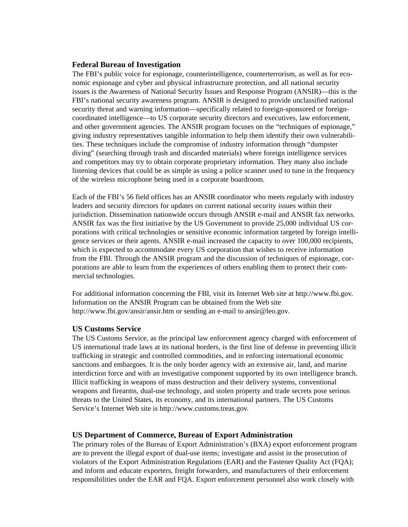#### **Federal Bureau of Investigation**

The FBI's public voice for espionage, counterintelligence, counterterrorism, as well as for economic espionage and cyber and physical infrastructure protection, and all national security issues is the Awareness of National Security Issues and Response Program (ANSIR)—this is the FBI's national security awareness program. ANSIR is designed to provide unclassified national security threat and warning information—specifically related to foreign-sponsored or foreigncoordinated intelligence—to US corporate security directors and executives, law enforcement, and other government agencies. The ANSIR program focuses on the "techniques of espionage," giving industry representatives tangible information to help them identify their own vulnerabilities. These techniques include the compromise of industry information through "dumpster diving" (searching through trash and discarded materials) where foreign intelligence services and competitors may try to obtain corporate proprietary information. They many also include listening devices that could be as simple as using a police scanner used to tune in the frequency of the wireless microphone being used in a corporate boardroom.

Each of the FBI's 56 field offices has an ANSIR coordinator who meets regularly with industry leaders and security directors for updates on current national security issues within their jurisdiction. Dissemination nationwide occurs through ANSIR e-mail and ANSIR fax networks. ANSIR fax was the first initiative by the US Government to provide 25,000 individual US corporations with critical technologies or sensitive economic information targeted by foreign intelligence services or their agents. ANSIR e-mail increased the capacity to over 100,000 recipients, which is expected to accommodate every US corporation that wishes to receive information from the FBI. Through the ANSIR program and the discussion of techniques of espionage, corporations are able to learn from the experiences of others enabling them to protect their commercial technologies.

For additional information concerning the FBI, visit its Internet Web site at http://www.fbi.gov. Information on the ANSIR Program can be obtained from the Web site http://www.fbi.gov/ansir/ansir.htm or sending an e-mail to ansir@leo.gov.

#### **US Customs Service**

The US Customs Service, as the principal law enforcement agency charged with enforcement of US international trade laws at its national borders, is the first line of defense in preventing illicit trafficking in strategic and controlled commodities, and in enforcing international economic sanctions and embargoes. It is the only border agency with an extensive air, land, and marine interdiction force and with an investigative component supported by its own intelligence branch. Illicit trafficking in weapons of mass destruction and their delivery systems, conventional weapons and firearms, dual-use technology, and stolen property and trade secrets pose serious threats to the United States, its economy, and its international partners. The US Customs Service's Internet Web site is http://www.customs.treas.gov.

#### **US Department of Commerce, Bureau of Export Administration**

The primary roles of the Bureau of Export Administration's (BXA) export enforcement program are to prevent the illegal export of dual-use items; investigate and assist in the prosecution of violators of the Export Administration Regulations (EAR) and the Fastener Quality Act (FQA); and inform and educate exporters, freight forwarders, and manufacturers of their enforcement responsibilities under the EAR and FQA. Export enforcement personnel also work closely with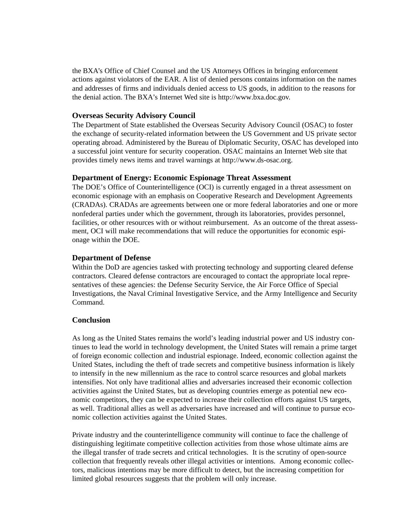the BXA's Office of Chief Counsel and the US Attorneys Offices in bringing enforcement actions against violators of the EAR. A list of denied persons contains information on the names and addresses of firms and individuals denied access to US goods, in addition to the reasons for the denial action. The BXA's Internet Wed site is http://www.bxa.doc.gov.

#### **Overseas Security Advisory Council**

The Department of State established the Overseas Security Advisory Council (OSAC) to foster the exchange of security-related information between the US Government and US private sector operating abroad. Administered by the Bureau of Diplomatic Security, OSAC has developed into a successful joint venture for security cooperation. OSAC maintains an Internet Web site that provides timely news items and travel warnings at http://www.ds-osac.org.

#### **Department of Energy: Economic Espionage Threat Assessment**

The DOE's Office of Counterintelligence (OCI) is currently engaged in a threat assessment on economic espionage with an emphasis on Cooperative Research and Development Agreements (CRADAs). CRADAs are agreements between one or more federal laboratories and one or more nonfederal parties under which the government, through its laboratories, provides personnel, facilities, or other resources with or without reimbursement. As an outcome of the threat assessment, OCI will make recommendations that will reduce the opportunities for economic espionage within the DOE.

#### **Department of Defense**

Within the DoD are agencies tasked with protecting technology and supporting cleared defense contractors. Cleared defense contractors are encouraged to contact the appropriate local representatives of these agencies: the Defense Security Service, the Air Force Office of Special Investigations, the Naval Criminal Investigative Service, and the Army Intelligence and Security Command.

#### **Conclusion**

As long as the United States remains the world's leading industrial power and US industry continues to lead the world in technology development, the United States will remain a prime target of foreign economic collection and industrial espionage. Indeed, economic collection against the United States, including the theft of trade secrets and competitive business information is likely to intensify in the new millennium as the race to control scarce resources and global markets intensifies. Not only have traditional allies and adversaries increased their economic collection activities against the United States, but as developing countries emerge as potential new economic competitors, they can be expected to increase their collection efforts against US targets, as well. Traditional allies as well as adversaries have increased and will continue to pursue economic collection activities against the United States.

Private industry and the counterintelligence community will continue to face the challenge of distinguishing legitimate competitive collection activities from those whose ultimate aims are the illegal transfer of trade secrets and critical technologies. It is the scrutiny of open-source collection that frequently reveals other illegal activities or intentions. Among economic collectors, malicious intentions may be more difficult to detect, but the increasing competition for limited global resources suggests that the problem will only increase.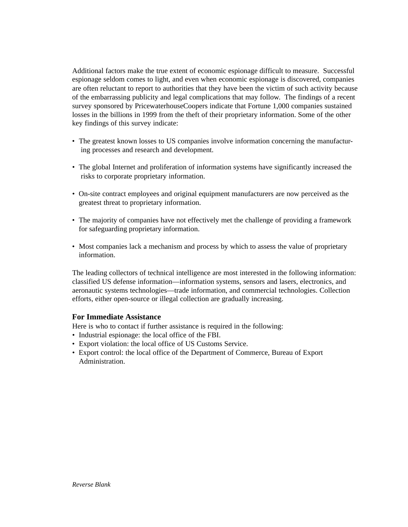Additional factors make the true extent of economic espionage difficult to measure. Successful espionage seldom comes to light, and even when economic espionage is discovered, companies are often reluctant to report to authorities that they have been the victim of such activity because of the embarrassing publicity and legal complications that may follow. The findings of a recent survey sponsored by PricewaterhouseCoopers indicate that Fortune 1,000 companies sustained losses in the billions in 1999 from the theft of their proprietary information. Some of the other key findings of this survey indicate:

- The greatest known losses to US companies involve information concerning the manufacturing processes and research and development.
- The global Internet and proliferation of information systems have significantly increased the risks to corporate proprietary information.
- On-site contract employees and original equipment manufacturers are now perceived as the greatest threat to proprietary information.
- The majority of companies have not effectively met the challenge of providing a framework for safeguarding proprietary information.
- Most companies lack a mechanism and process by which to assess the value of proprietary information.

The leading collectors of technical intelligence are most interested in the following information: classified US defense information—information systems, sensors and lasers, electronics, and aeronautic systems technologies—trade information, and commercial technologies. Collection efforts, either open-source or illegal collection are gradually increasing.

#### **For Immediate Assistance**

Here is who to contact if further assistance is required in the following:

- Industrial espionage: the local office of the FBI.
- Export violation: the local office of US Customs Service.
- Export control: the local office of the Department of Commerce, Bureau of Export Administration.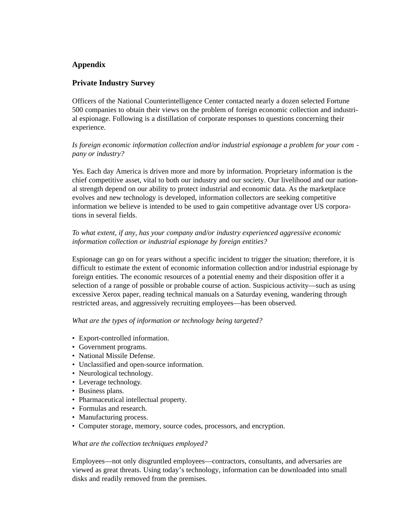# **Appendix**

# **Private Industry Survey**

Officers of the National Counterintelligence Center contacted nearly a dozen selected Fortune 500 companies to obtain their views on the problem of foreign economic collection and industrial espionage. Following is a distillation of corporate responses to questions concerning their experience.

# *Is foreign economic information collection and/or industrial espionage a problem for your com pany or industry?*

Yes. Each day America is driven more and more by information. Proprietary information is the chief competitive asset, vital to both our industry and our society. Our livelihood and our national strength depend on our ability to protect industrial and economic data. As the marketplace evolves and new technology is developed, information collectors are seeking competitive information we believe is intended to be used to gain competitive advantage over US corporations in several fields.

# *To what extent, if any, has your company and/or industry experienced aggressive economic information collection or industrial espionage by foreign entities?*

Espionage can go on for years without a specific incident to trigger the situation; therefore, it is difficult to estimate the extent of economic information collection and/or industrial espionage by foreign entities. The economic resources of a potential enemy and their disposition offer it a selection of a range of possible or probable course of action. Suspicious activity—such as using excessive Xerox paper, reading technical manuals on a Saturday evening, wandering through restricted areas, and aggressively recruiting employees—has been observed.

#### *What are the types of information or technology being targeted?*

- Export-controlled information.
- Government programs.
- National Missile Defense.
- Unclassified and open-source information.
- Neurological technology.
- Leverage technology.
- Business plans.
- Pharmaceutical intellectual property.
- Formulas and research.
- Manufacturing process.
- Computer storage, memory, source codes, processors, and encryption.

#### *What are the collection techniques employed?*

Employees—not only disgruntled employees—contractors, consultants, and adversaries are viewed as great threats. Using today's technology, information can be downloaded into small disks and readily removed from the premises.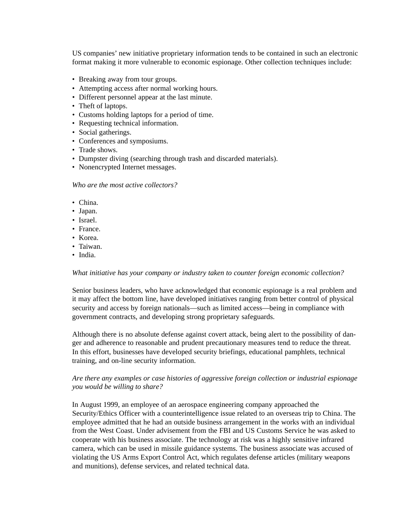US companies' new initiative proprietary information tends to be contained in such an electronic format making it more vulnerable to economic espionage. Other collection techniques include:

- Breaking away from tour groups.
- Attempting access after normal working hours.
- Different personnel appear at the last minute.
- Theft of laptops.
- Customs holding laptops for a period of time.
- Requesting technical information.
- Social gatherings.
- Conferences and symposiums.
- Trade shows.
- Dumpster diving (searching through trash and discarded materials).
- Nonencrypted Internet messages.

*Who are the most active collectors?*

- China.
- Japan.
- Israel.
- France.
- Korea.
- Taiwan.
- India.

#### *What initiative has your company or industry taken to counter foreign economic collection?*

Senior business leaders, who have acknowledged that economic espionage is a real problem and it may affect the bottom line, have developed initiatives ranging from better control of physical security and access by foreign nationals—such as limited access—being in compliance with government contracts, and developing strong proprietary safeguards.

Although there is no absolute defense against covert attack, being alert to the possibility of danger and adherence to reasonable and prudent precautionary measures tend to reduce the threat. In this effort, businesses have developed security briefings, educational pamphlets, technical training, and on-line security information.

#### *Are there any examples or case histories of aggressive foreign collection or industrial espionage you would be willing to share?*

In August 1999, an employee of an aerospace engineering company approached the Security/Ethics Officer with a counterintelligence issue related to an overseas trip to China. The employee admitted that he had an outside business arrangement in the works with an individual from the West Coast. Under advisement from the FBI and US Customs Service he was asked to cooperate with his business associate. The technology at risk was a highly sensitive infrared camera, which can be used in missile guidance systems. The business associate was accused of violating the US Arms Export Control Act, which regulates defense articles (military weapons and munitions), defense services, and related technical data.